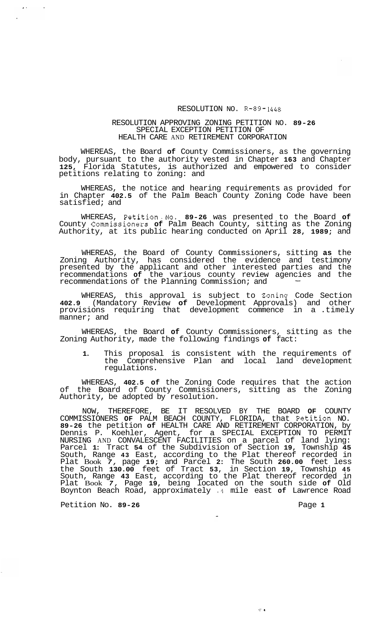## RESOLUTION NO. **R-89-1448**

## RESOLUTION APPROVING ZONING PETITION NO. **89-26**  SPECIAL EXCEPTION PETITION OF HEALTH CARE AND RETIREMENT CORPORATION

WHEREAS, the Board **of** County Commissioners, as the governing body, pursuant to the authority vested in Chapter **163** and Chapter **125,** Florida Statutes, is authorized and empowered to consider petitions relating to zoning: and

WHEREAS, the notice and hearing requirements as provided for in Chapter **402.5** of the Palm Beach County Zoning Code have been satisfied; and

WHEREAS, Petition.No. **89-26** was presented to the Board **of**  County Commissioners **of** Palm Beach County, sitting as the Zoning Authority, at its public hearing conducted on April **28, 1989;** and

WHEREAS, the Board of County Commissioners, sitting **as** the Zoning Authority, has considered the evidence and testimony presented by the applicant and other interested parties and the presented by the appilcant and other interested parties and the<br>recommendations **of** the various county review agencies and the<br>recommendations of the Planning Commission; and

WHEREAS, this approval is subject to Zoning Code Section **402.9** (Mandatory Review **of** Development Approvals) and other provisions requiring that development commence in a .timely manner; and

WHEREAS, the Board **of** County Commissioners, sitting as the Zoning Authority, made the following findings **of** fact:

**1.** This proposal is consistent with the requirements of the Comprehensive Plan and local land development regulations.

WHEREAS, **402.5 of** the Zoning Code requires that the action of the Board of County Commissioners, sitting as the Zoning Authority, be adopted by resolution.

NOW, THEREFORE, BE IT RESOLVED BY THE BOARD **OF** COUNTY COMMISSIONERS **OF** PALM BEACH COUNTY, FLORIDA, that Petition NO. **89-26** the petition **of** HEALTH CARE AND RETIREMENT CORPORATION, by Dennis P. Koehler, Agent, for a SPECIAL EXCEPTION TO PERMIT NURSING AND CONVALESCENT FACILITIES on a parcel of land lying: Parcel **1:** Tract **54** of the Subdivision of Section **19,** Township **45**  South, Range **43** East, according to the Plat thereof recorded in Plat Book *7,* page **19;** and Parcel **2:** The South **260.00** feet less the South **130.00** feet of Tract **53,** in Section **19,** Township **45**  South, Range **43** East, according to the Plat thereof recorded in Plat Book *7,* Page **19,** being located on the south side **of** Old Boynton Beach Road, approximately **.4** mile east **of** Lawrence Road

Petition No. 89-26 **Page 1 Page 1** 

 $\mathbf{A}$ 

 $\pi\pi^+$  as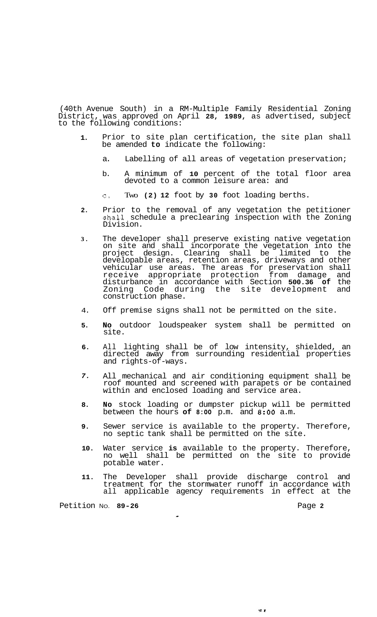(40th Avenue South) in a RM-Multiple Family Residential Zoning District, was approved on April **28, 1989,** as advertised, subject to the following conditions:

- **1.**  Prior to site plan certification, the site plan shall be amended **to** indicate the following:
	- a. Labelling of all areas of vegetation preservation;
	- b. A minimum of **10** percent of the total floor area devoted to a common leisure area: and
	- c, Two **(2) 12** foot by **30** foot loading berths.
- **2.**  Prior to the removal of any vegetation the petitioner shall schedule a preclearing inspection with the Zoning Division.
- **3.**  The developer shall preserve existing native vegetation on site and shall incorporate the vegetation into the project design. Clearing shall be limited to the developable areas, retention areas, driveways and other vehicular use areas. The areas for preservation shall receive appropriate protection from damage and disturbance in accordance with Section **500.36 of** the Zoning Code during the site development and construction phase.
- 4. Off premise signs shall not be permitted on the site.
- **5. No** outdoor loudspeaker system shall be permitted on site.
- **6.**  All lighting shall be of low intensity, shielded, an directed away from surrounding residential properties and rights-of-ways.
- *7.*  All mechanical and air conditioning equipment shall be roof mounted and screened with parapets or be contained within and enclosed loading and service area.
- **8. No** stock loading or dumpster pickup will be permitted between the hours **of 8:OO** p.m. and **8:OO** a.m.
- **9.**  Sewer service is available to the property. Therefore, no septic tank shall be permitted on the site.
- **10.**  Water service **is** available to the property. Therefore, no well shall be permitted on the site to provide potable water.
- **11.**  The Developer shall provide discharge control and treatment for the stormwater runoff in accordance with all applicable agency requirements in effect at the

-

Petition NO. **89-26** Page **2**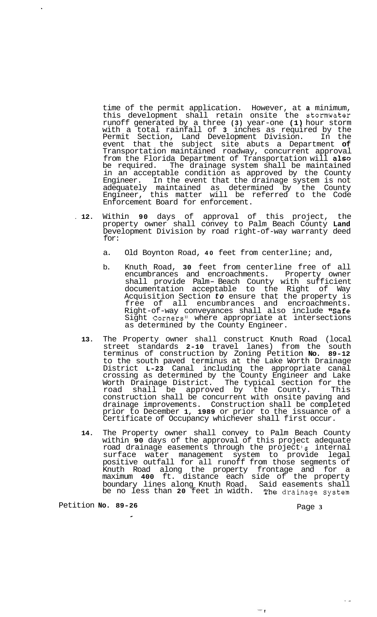time of the permit application. However, at **a** minimum, this development shall retain onsite the stomwater runoff generated by a three **(3)** year-one **(1)** hour storm with a total rainfall of **3** inches as required by the Permit Section, Land Development Division. In the event that the subject site abuts a Department **of**  Transportation maintained roadway, concurrent approval from the Florida Department of Transportation will also<br>be required. The drainage system shall be maintained The drainage system shall be maintained in an acceptable condition as approved by the County Engineer. In the event that the drainage system is not adequately maintained as determined by the County Engineer, this matter will be referred to the Code Enforcement Board for enforcement.

- . **12.** Within **90** days of approval of this project, the property owner shall convey to Palm Beach County **Land**  Development Division by road right-of-way warranty deed for:
	- a. Old Boynton Road, **40** feet from centerline; and,
	- b. Knuth Road, **30** feet from centerline free of all encumbrances and encroachments. Property owner shall provide Palm- Beach County with sufficient documentation acceptable to the Right of Way Acquisition Section *to* ensure that the property is free of all encumbrances and encroachments. Right-of-way conveyances shall also include "Safe Sight Corners<sup>1</sup> where appropriate at intersections as determined by the County Engineer.
	- **13.** The Property owner shall construct Knuth Road (local street standards **2-10** travel lanes) from the south terminus of construction by Zoning Petition **No. 89-12**  to the south paved terminus at the Lake Worth Drainage District **L-23** Canal including the appropriate canal crossing as determined by the County Engineer and Lake Worth Drainage District. The typical section for the road shall be approved by the County. This construction shall be concurrent with onsite paving and drainage improvements. Construction shall be completed prior to December **1, 1989** or prior to the issuance of a Certificate of Occupancy whichever shall first occur.
	- **14.** The Property owner shall convey to Palm Beach County within **90** days of the approval of this project adequate road drainage easements through the project **1s** internal surface water management system to provide legal positive outfall for all runoff from those segments of Knuth Road along the property frontage and for a maximum **400** ft. distance each side of the property boundary lines along Knuth Road. Said easements shall be no less than **20** feet in width. The drainage system

Petition **No. 89-26** 

-

Page **3** 

 $\omega_{\mathcal{C}}$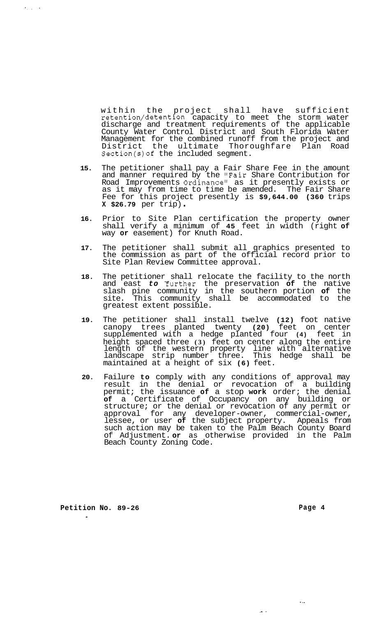within the project shall have sufficient retention/detention capacity to meet the storm water discharge and treatment requirements of the applicable County Water Control District and South Florida Water Management for the combined runoff from the project and District the ultimate Thoroughfare Plan Road Section(s)of the included segment.

- **15.** The petitioner shall pay a Fair Share Fee in the amount and manner required by the "Fair Share Contribution for Road Improvements Ordinance" as it presently exists or as it may from time to time be amended. The Fair Share Fee for this project presently is **\$9,644.00 (360** trips **X \$26.79** per trip) .
- **16.** Prior to Site Plan certification the property owner shall verify a minimum of **45** feet in width (right **of**  way **or** easement) for Knuth Road.
- **17.** The petitioner shall submit all graphics presented to the commission as part of the official record prior to Site Plan Review Committee approval.
- **18.** The petitioner shall relocate the facility to the north and east *to* Yurther the preservation **of** the native slash pine community in the southern portion **of** the site. This community shall be accommodated to the greatest extent possible.
- **19.** The petitioner shall install twelve **(12)** foot native canopy trees planted twenty **(20)** feet on center supplemented with a hedge planted four **(4)** feet in height spaced three **(3)** feet on center along the entire length of the western property line with alternative landscape strip number three. This hedge shall be maintained at a height of six **(6)** feet.
- **20.** Failure **to** comply with any conditions of approval may result in the denial or revocation of a building permit; the issuance **of** a stop **work** order; the denial **of** a Certificate of Occupancy on any building or structure; or the denial or revocation of any permit or approval for any developer-owner, commercial-owner, lessee, or user **of** the subject property. Appeals from such action may be taken to the Palm Beach County Board of Adjustment. **or** as otherwise provided in the Palm Beach County Zoning Code.

**Petition No. 89-26**  -

 $\epsilon_{\rm max} \sim 1$ 

**Page 4** 

. ..

.- .